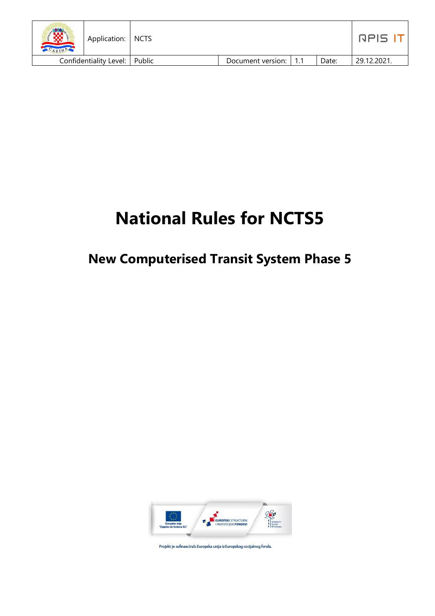| ₩<br>Application:   NCTS<br>ARIF |                         |       | nels i     |
|----------------------------------|-------------------------|-------|------------|
| Confidentiality Level:   Public  | Document version:   1.1 | Date: | 29.12.2021 |

# **National Rules for NCTS5**

# **New Computerised Transit System Phase 5**



Projekt je sufinancirala Europska unija iz Europskog socijalnog fonda.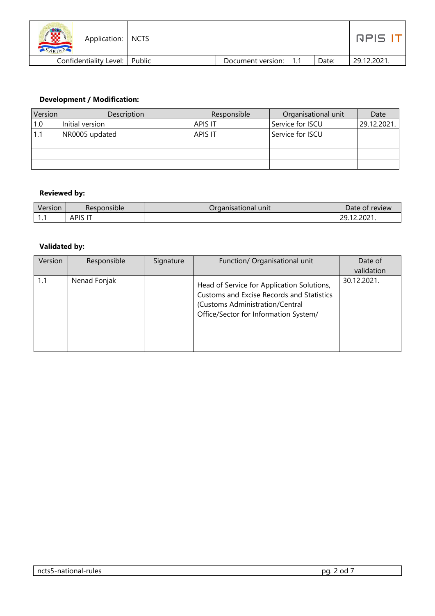| <u>/w</u><br>ARINE | Application:   NCTS    |          |                       |       | RPIS 1      |
|--------------------|------------------------|----------|-----------------------|-------|-------------|
|                    | Confidentiality Level: | l Public | Document version: 1.1 | Date: | 29.12.2021. |

#### **Development / Modification:**

| Version | Description     | Responsible    | Organisational unit | Date        |
|---------|-----------------|----------------|---------------------|-------------|
| 1.0     | Initial version | <b>APIS IT</b> | Service for ISCU    | 29.12.2021. |
| 1.1     | NR0005 updated  | <b>APIS IT</b> | Service for ISCU    |             |
|         |                 |                |                     |             |
|         |                 |                |                     |             |
|         |                 |                |                     |             |

#### **Reviewed by:**

| Version | Responsible         | Organisational <sup>y</sup><br>unit | Date of<br>review        |
|---------|---------------------|-------------------------------------|--------------------------|
| .       | APIS<br>$\sim$<br>. |                                     | 2023<br>12.ZUZ 1.<br>--- |

#### **Validated by:**

| Version | Responsible  | Signature | Function/ Organisational unit                                                                                                                                       | Date of<br>validation |
|---------|--------------|-----------|---------------------------------------------------------------------------------------------------------------------------------------------------------------------|-----------------------|
| 1.1     | Nenad Fonjak |           | Head of Service for Application Solutions,<br>Customs and Excise Records and Statistics<br>(Customs Administration/Central<br>Office/Sector for Information System/ | 30.12.2021.           |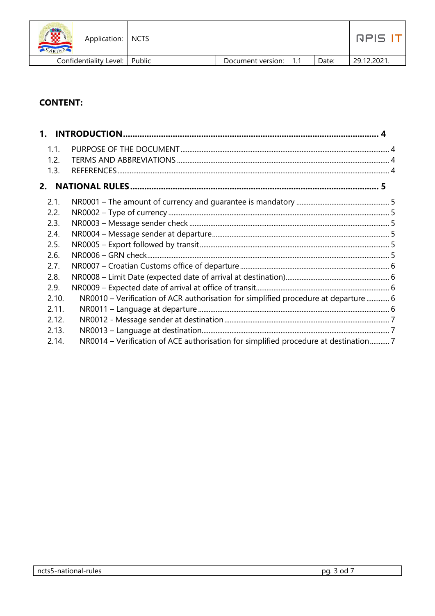| <b>CRES</b><br>ARIN | Application:   NCTS             |                         |       | <b>RPIS</b> |
|---------------------|---------------------------------|-------------------------|-------|-------------|
|                     | Confidentiality Level:   Public | Document version:   1.1 | Date: | 29.12.2021. |

# **CONTENT:**

| 1.1.<br>1.2.<br>1.3. |                                                                                      |  |
|----------------------|--------------------------------------------------------------------------------------|--|
|                      |                                                                                      |  |
| 2.1.                 |                                                                                      |  |
| 2.2.                 |                                                                                      |  |
| 2.3.                 |                                                                                      |  |
| 2.4.                 |                                                                                      |  |
| 2.5.                 |                                                                                      |  |
| 2.6.                 |                                                                                      |  |
| 2.7.                 |                                                                                      |  |
| 2.8.                 |                                                                                      |  |
| 2.9.                 |                                                                                      |  |
| 2.10.                | NR0010 – Verification of ACR authorisation for simplified procedure at departure  6  |  |
| 2.11.                |                                                                                      |  |
| 2.12.                |                                                                                      |  |
| 2.13.                |                                                                                      |  |
| 2.14.                | NR0014 – Verification of ACE authorisation for simplified procedure at destination 7 |  |
|                      |                                                                                      |  |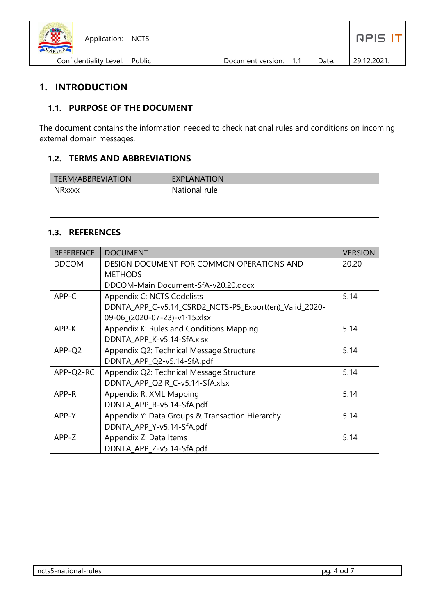| <b>SERV</b><br>юх<br>CARINA | Application:   NCTS             |                         |       | RPIS IT    |
|-----------------------------|---------------------------------|-------------------------|-------|------------|
|                             | Confidentiality Level:   Public | Document version:   1.1 | Date: | 29.12.2021 |

# <span id="page-3-0"></span>**1. INTRODUCTION**

#### <span id="page-3-1"></span>**1.1. PURPOSE OF THE DOCUMENT**

The document contains the information needed to check national rules and conditions on incoming external domain messages.

#### <span id="page-3-2"></span>**1.2. TERMS AND ABBREVIATIONS**

| TERM/ABBREVIATION | EXPLANATION   |
|-------------------|---------------|
| <b>NRxxxx</b>     | National rule |
|                   |               |
|                   |               |

#### <span id="page-3-3"></span>**1.3. REFERENCES**

| <b>REFERENCE</b> | <b>DOCUMENT</b>                                        | <b>VERSION</b> |
|------------------|--------------------------------------------------------|----------------|
| <b>DDCOM</b>     | DESIGN DOCUMENT FOR COMMON OPERATIONS AND              | 20.20          |
|                  | <b>METHODS</b>                                         |                |
|                  | DDCOM-Main Document-SfA-y20.20.docx                    |                |
| APP-C            | Appendix C: NCTS Codelists                             | 5.14           |
|                  | DDNTA_APP_C-v5.14_CSRD2_NCTS-P5_Export(en)_Valid_2020- |                |
|                  | 09-06_(2020-07-23)-v1·15.xlsx                          |                |
| APP-K            | Appendix K: Rules and Conditions Mapping               | 5.14           |
|                  | DDNTA_APP_K-v5.14-SfA.xlsx                             |                |
| APP-Q2           | Appendix Q2: Technical Message Structure               | 5.14           |
|                  | DDNTA_APP_Q2-v5.14-SfA.pdf                             |                |
| APP-Q2-RC        | Appendix Q2: Technical Message Structure               | 5.14           |
|                  | DDNTA_APP_Q2 R_C-v5.14-SfA.xlsx                        |                |
| APP-R            | Appendix R: XML Mapping                                | 5.14           |
|                  | DDNTA_APP_R-v5.14-SfA.pdf                              |                |
| APP-Y            | Appendix Y: Data Groups & Transaction Hierarchy        | 5.14           |
|                  | DDNTA_APP_Y-v5.14-SfA.pdf                              |                |
| APP-Z            | Appendix Z: Data Items                                 | 5.14           |
|                  | DDNTA_APP_Z-v5.14-SfA.pdf                              |                |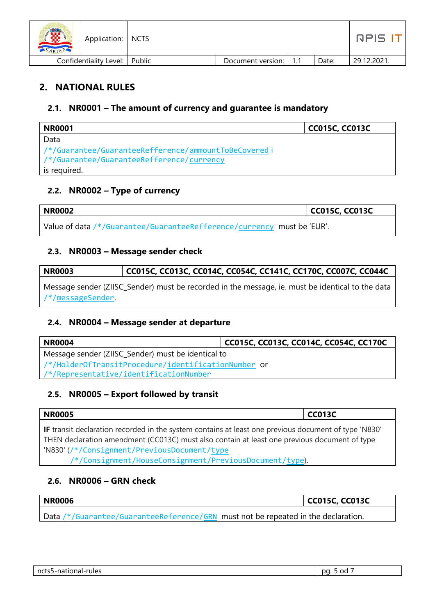| 19790<br>Application:   NCTS<br>ARIN |                   |     |       | RPIS.       |
|--------------------------------------|-------------------|-----|-------|-------------|
| Confidentiality Level:   Public      | Document version: | 1.1 | Date: | 29.12.2021. |

# <span id="page-4-0"></span>**2. NATIONAL RULES**

#### <span id="page-4-1"></span>**2.1. NR0001 – The amount of currency and guarantee is mandatory**

| <b>NR0001</b>                                        | <b>CC015C, CC013C</b> |
|------------------------------------------------------|-----------------------|
| Data                                                 |                       |
| /*/Guarantee/GuaranteeRefference/ammountToBeCoveredi |                       |
| /*/Guarantee/GuaranteeRefference/currency            |                       |
| is required.                                         |                       |

# <span id="page-4-2"></span>**2.2. NR0002 – Type of currency**

| <b>NR0002</b>                                                          | CC015C, CC013C |
|------------------------------------------------------------------------|----------------|
| Value of data /*/Guarantee/GuaranteeRefference/currency must be 'EUR'. |                |

#### <span id="page-4-3"></span>**2.3. NR0003 – Message sender check**

| <b>NR0003</b> | CC015C, CC013C, CC014C, CC054C, CC141C, CC170C, CC007C, CC044C                                   |
|---------------|--------------------------------------------------------------------------------------------------|
|               | Message sender (ZIISC_Sender) must be recorded in the message, ie. must be identical to the data |

/\*/messageSender.

#### <span id="page-4-4"></span>**2.4. NR0004 – Message sender at departure**

| <b>NR0004</b>                                       | CC015C, CC013C, CC014C, CC054C, CC170C |  |  |  |
|-----------------------------------------------------|----------------------------------------|--|--|--|
| Message sender (ZIISC_Sender) must be identical to  |                                        |  |  |  |
| /*/HolderOfTransitProcedure/identificationNumber or |                                        |  |  |  |
| /*/Representative/identificationNumber              |                                        |  |  |  |

# <span id="page-4-5"></span>**2.5. NR0005 – Export followed by transit**

| <b>NR0005</b>                                                                                                                                                                                        | $ $ CC013C |
|------------------------------------------------------------------------------------------------------------------------------------------------------------------------------------------------------|------------|
| If transit declaration recorded in the system contains at least one previous document of type 'N830'<br>THEN declaration amendment (CC013C) must also contain at least one previous document of type |            |
| W830'(/*/Consignment/PreviousDocument/type)                                                                                                                                                          |            |

/\*/Consignment/HouseConsignment/PreviousDocument/type).

# <span id="page-4-6"></span>**2.6. NR0006 – GRN check**

| <b>NR0006</b>                                                                     | CC015C, CC013C |
|-----------------------------------------------------------------------------------|----------------|
| Data /*/Guarantee/GuaranteeReference/GRN must not be repeated in the declaration. |                |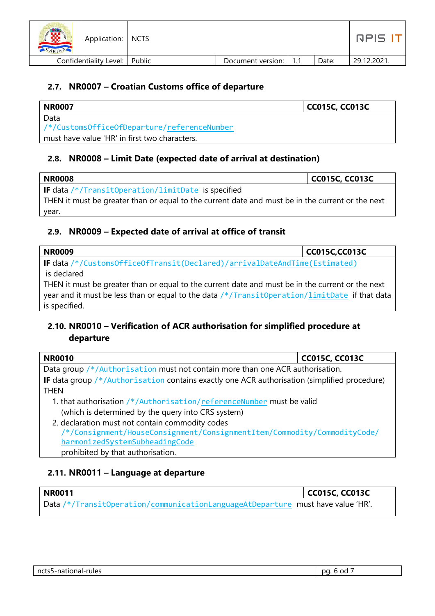| <b>ALL</b><br>Application:   NCTS |                         |       | ה הם ה      |
|-----------------------------------|-------------------------|-------|-------------|
| Confidentiality Level:   Public   | Document version:   1.1 | Date: | 29.12.2021. |

#### <span id="page-5-0"></span>**2.7. NR0007 – Croatian Customs office of departure**

| NR0007                                        | <b>CC015C, CC013C</b> |
|-----------------------------------------------|-----------------------|
| Data                                          |                       |
| /*/CustomsOfficeOfDeparture/referenceNumber   |                       |
| must have value 'HR' in first two characters. |                       |

#### <span id="page-5-1"></span>**2.8. NR0008 – Limit Date (expected date of arrival at destination)**

| <b>NR0008</b>                                                                                    | CC015C, CC013C |
|--------------------------------------------------------------------------------------------------|----------------|
| <b>IF</b> data $/*/TransitOperation/limitDate$ is specified                                      |                |
| THEN it must be greater than or equal to the current date and must be in the current or the next |                |
| year.                                                                                            |                |

#### <span id="page-5-2"></span>**2.9. NR0009 – Expected date of arrival at office of transit**

| <b>NR0009</b>                                                                                    | <b>CC015C,CC013C</b> |
|--------------------------------------------------------------------------------------------------|----------------------|
| IF data /*/CustomsOfficeOfTransit(Declared)/arrivalDateAndTime(Estimated)                        |                      |
| is declared                                                                                      |                      |
| THEN it must be greater than or equal to the current date and must be in the current or the next |                      |
| year and it must be less than or equal to the data /*/TransitOperation/limitDate if that data    |                      |
| is specified.                                                                                    |                      |

# <span id="page-5-3"></span>**2.10. NR0010 – Verification of ACR authorisation for simplified procedure at departure**

| <b>NR0010</b>                                                                                                               | <b>CC015C, CC013C</b> |
|-----------------------------------------------------------------------------------------------------------------------------|-----------------------|
| Data group /*/Authorisation must not contain more than one ACR authorisation.                                               |                       |
| <b>IF</b> data group $/*/$ Authorisation contains exactly one ACR authorisation (simplified procedure)                      |                       |
| <b>THEN</b>                                                                                                                 |                       |
| 1. that authorisation /*/Authorisation/referenceNumber must be valid                                                        |                       |
| (which is determined by the query into CRS system)                                                                          |                       |
| 2. declaration must not contain commodity codes<br>/*/Consignment/HouseConsignment/ConsignmentItem/Commodity/CommodityCode/ |                       |

#### <span id="page-5-4"></span>**2.11. NR0011 – Language at departure**

 harmonizedSystemSubheadingCode prohibited by that authorisation.

| <b>NR0011</b>                                                                   | CC015C, CC013C |
|---------------------------------------------------------------------------------|----------------|
| Data /*/TransitOperation/communicationLanguageAtDeparture must have value 'HR'. |                |